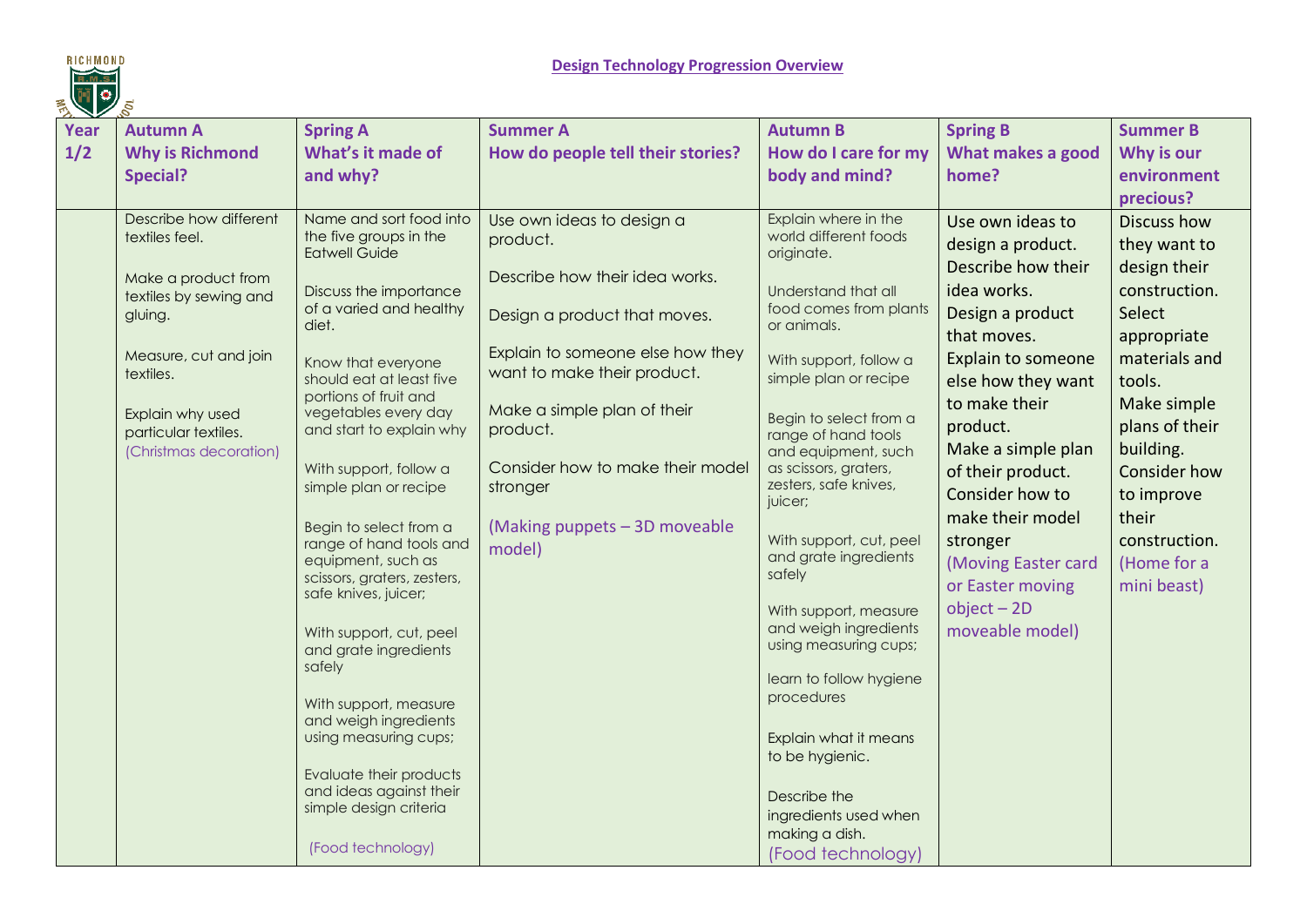

| $\mathbf{v}$ |                        |                                                   |                                   |                                                 |                     |                     |
|--------------|------------------------|---------------------------------------------------|-----------------------------------|-------------------------------------------------|---------------------|---------------------|
| <b>Year</b>  | <b>Autumn A</b>        | <b>Spring A</b>                                   | <b>Summer A</b>                   | <b>Autumn B</b>                                 | <b>Spring B</b>     | <b>Summer B</b>     |
| 1/2          | <b>Why is Richmond</b> | What's it made of                                 | How do people tell their stories? | How do I care for my                            | What makes a good   | Why is our          |
|              | <b>Special?</b>        | and why?                                          |                                   | body and mind?                                  | home?               | environment         |
|              |                        |                                                   |                                   |                                                 |                     | precious?           |
|              | Describe how different | Name and sort food into                           | Use own ideas to design a         | Explain where in the                            | Use own ideas to    | Discuss how         |
|              | textiles feel.         | the five groups in the                            | product.                          | world different foods                           | design a product.   | they want to        |
|              |                        | <b>Eatwell Guide</b>                              |                                   | originate.                                      | Describe how their  | design their        |
|              | Make a product from    | Discuss the importance                            | Describe how their idea works.    | Understand that all                             | idea works.         | construction.       |
|              | textiles by sewing and | of a varied and healthy                           |                                   | food comes from plants                          | Design a product    | Select              |
|              | gluing.                | diet.                                             | Design a product that moves.      | or animals.                                     | that moves.         |                     |
|              | Measure, cut and join  |                                                   | Explain to someone else how they  |                                                 |                     | appropriate         |
|              | textiles.              | Know that everyone                                | want to make their product.       | With support, follow a<br>simple plan or recipe | Explain to someone  | materials and       |
|              |                        | should eat at least five<br>portions of fruit and |                                   |                                                 | else how they want  | tools.              |
|              | Explain why used       | vegetables every day                              | Make a simple plan of their       | Begin to select from a                          | to make their       | Make simple         |
|              | particular textiles.   | and start to explain why                          | product.                          | range of hand tools                             | product.            | plans of their      |
|              | (Christmas decoration) |                                                   |                                   | and equipment, such                             | Make a simple plan  | building.           |
|              |                        | With support, follow a                            | Consider how to make their model  | as scissors, graters,<br>zesters, safe knives,  | of their product.   | <b>Consider how</b> |
|              |                        | simple plan or recipe                             | stronger                          | juicer;                                         | Consider how to     | to improve          |
|              |                        |                                                   | (Making puppets - 3D moveable     |                                                 | make their model    | their               |
|              |                        | Begin to select from a<br>range of hand tools and |                                   | With support, cut, peel                         | stronger            | construction.       |
|              |                        | equipment, such as                                | model)                            | and grate ingredients                           | (Moving Easter card | (Home for a         |
|              |                        | scissors, graters, zesters,                       |                                   | safely                                          | or Easter moving    | mini beast)         |
|              |                        | safe knives, juicer;                              |                                   | With support, measure                           | $object - 2D$       |                     |
|              |                        | With support, cut, peel                           |                                   | and weigh ingredients                           | moveable model)     |                     |
|              |                        | and grate ingredients                             |                                   | using measuring cups;                           |                     |                     |
|              |                        | safely                                            |                                   |                                                 |                     |                     |
|              |                        |                                                   |                                   | learn to follow hygiene<br>procedures           |                     |                     |
|              |                        | With support, measure<br>and weigh ingredients    |                                   |                                                 |                     |                     |
|              |                        | using measuring cups;                             |                                   | Explain what it means                           |                     |                     |
|              |                        |                                                   |                                   | to be hygienic.                                 |                     |                     |
|              |                        | Evaluate their products                           |                                   |                                                 |                     |                     |
|              |                        | and ideas against their                           |                                   | Describe the                                    |                     |                     |
|              |                        | simple design criteria                            |                                   | ingredients used when                           |                     |                     |
|              |                        | (Food technology)                                 |                                   | making a dish.                                  |                     |                     |
|              |                        |                                                   |                                   | (Food technology)                               |                     |                     |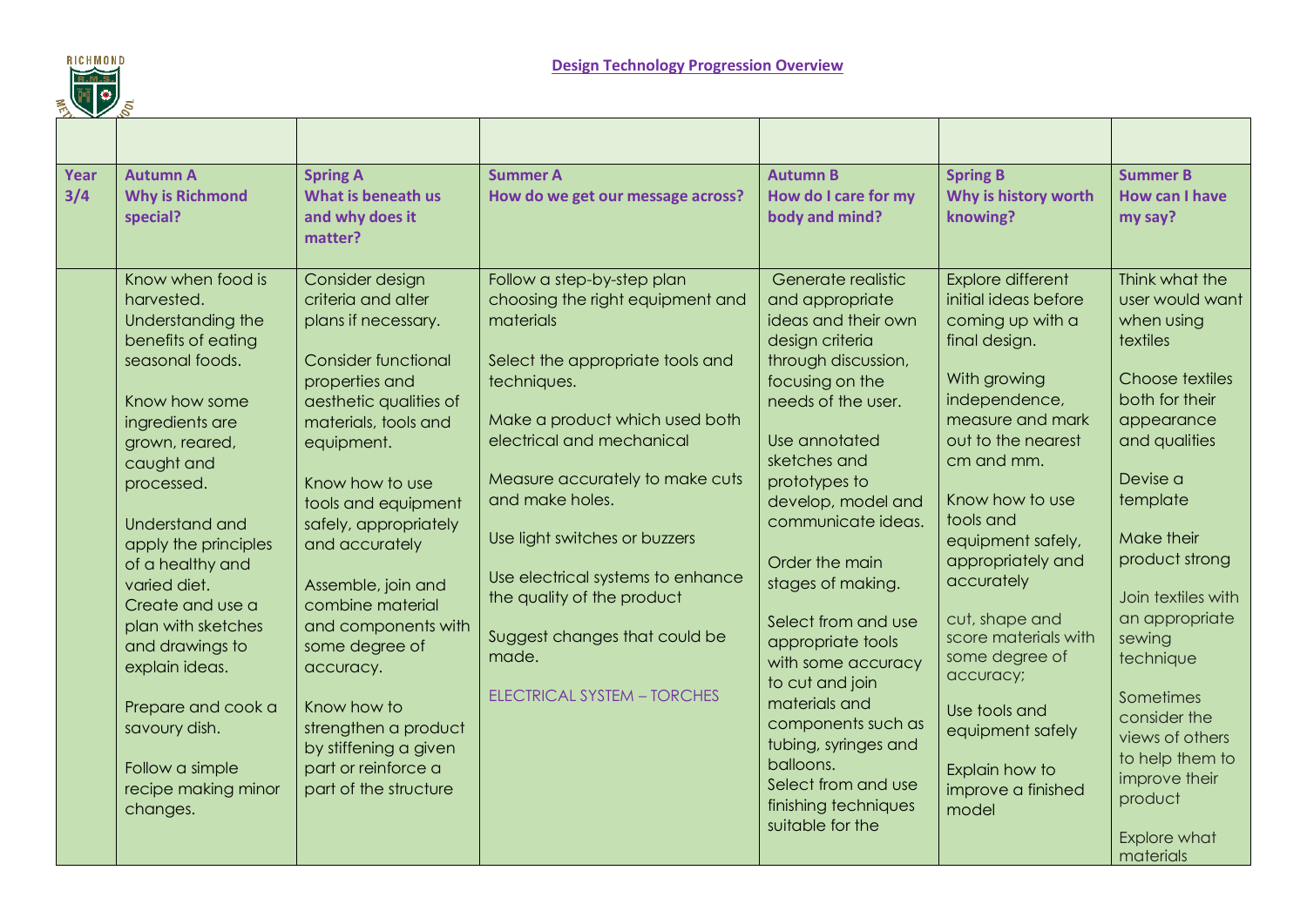

| $\mathcal{L}$ |                                                                                                                                                                                                                                                                                                                                                 |                                                                                                                                                                                                                                                                                                                                                                                                                   |                                                                                                                                                                                                                                                                                                                                                          |                                                                                                                                                                                                                                                                                                                                                                                           |                                                                                                                                                                                                                                                                                                                                     |                                                                                                                                                                                                                                                                             |
|---------------|-------------------------------------------------------------------------------------------------------------------------------------------------------------------------------------------------------------------------------------------------------------------------------------------------------------------------------------------------|-------------------------------------------------------------------------------------------------------------------------------------------------------------------------------------------------------------------------------------------------------------------------------------------------------------------------------------------------------------------------------------------------------------------|----------------------------------------------------------------------------------------------------------------------------------------------------------------------------------------------------------------------------------------------------------------------------------------------------------------------------------------------------------|-------------------------------------------------------------------------------------------------------------------------------------------------------------------------------------------------------------------------------------------------------------------------------------------------------------------------------------------------------------------------------------------|-------------------------------------------------------------------------------------------------------------------------------------------------------------------------------------------------------------------------------------------------------------------------------------------------------------------------------------|-----------------------------------------------------------------------------------------------------------------------------------------------------------------------------------------------------------------------------------------------------------------------------|
|               |                                                                                                                                                                                                                                                                                                                                                 |                                                                                                                                                                                                                                                                                                                                                                                                                   |                                                                                                                                                                                                                                                                                                                                                          |                                                                                                                                                                                                                                                                                                                                                                                           |                                                                                                                                                                                                                                                                                                                                     |                                                                                                                                                                                                                                                                             |
| Year<br>3/4   | <b>Autumn A</b><br><b>Why is Richmond</b><br>special?<br>Know when food is                                                                                                                                                                                                                                                                      | <b>Spring A</b><br>What is beneath us<br>and why does it<br>matter?<br>Consider design                                                                                                                                                                                                                                                                                                                            | <b>Summer A</b><br>How do we get our message across?<br>Follow a step-by-step plan                                                                                                                                                                                                                                                                       | <b>Autumn B</b><br>How do I care for my<br>body and mind?<br>Generate realistic                                                                                                                                                                                                                                                                                                           | <b>Spring B</b><br>Why is history worth<br>knowing?<br><b>Explore different</b>                                                                                                                                                                                                                                                     | <b>Summer B</b><br><b>How can I have</b><br>my say?<br>Think what the                                                                                                                                                                                                       |
|               | harvested.<br>Understanding the<br>benefits of eating                                                                                                                                                                                                                                                                                           | criteria and alter<br>plans if necessary.                                                                                                                                                                                                                                                                                                                                                                         | choosing the right equipment and<br>materials                                                                                                                                                                                                                                                                                                            | and appropriate<br>ideas and their own<br>design criteria                                                                                                                                                                                                                                                                                                                                 | initial ideas before<br>coming up with a<br>final design.                                                                                                                                                                                                                                                                           | user would want<br>when using<br>textiles                                                                                                                                                                                                                                   |
|               | seasonal foods.<br>Know how some<br>ingredients are<br>grown, reared,<br>caught and<br>processed.<br>Understand and<br>apply the principles<br>of a healthy and<br>varied diet.<br>Create and use a<br>plan with sketches<br>and drawings to<br>explain ideas.<br>Prepare and cook a<br>savoury dish.<br>Follow a simple<br>recipe making minor | <b>Consider functional</b><br>properties and<br>aesthetic qualities of<br>materials, tools and<br>equipment.<br>Know how to use<br>tools and equipment<br>safely, appropriately<br>and accurately<br>Assemble, join and<br>combine material<br>and components with<br>some degree of<br>accuracy.<br>Know how to<br>strengthen a product<br>by stiffening a given<br>part or reinforce a<br>part of the structure | Select the appropriate tools and<br>techniques.<br>Make a product which used both<br>electrical and mechanical<br>Measure accurately to make cuts<br>and make holes.<br>Use light switches or buzzers<br>Use electrical systems to enhance<br>the quality of the product<br>Suggest changes that could be<br>made.<br><b>ELECTRICAL SYSTEM - TORCHES</b> | through discussion,<br>focusing on the<br>needs of the user.<br>Use annotated<br>sketches and<br>prototypes to<br>develop, model and<br>communicate ideas.<br>Order the main<br>stages of making.<br>Select from and use<br>appropriate tools<br>with some accuracy<br>to cut and join<br>materials and<br>components such as<br>tubing, syringes and<br>balloons.<br>Select from and use | With growing<br>independence,<br>measure and mark<br>out to the nearest<br>cm and mm.<br>Know how to use<br>tools and<br>equipment safely,<br>appropriately and<br>accurately<br>cut, shape and<br>score materials with<br>some degree of<br>accuracy;<br>Use tools and<br>equipment safely<br>Explain how to<br>improve a finished | Choose textiles<br>both for their<br>appearance<br>and qualities<br>Devise a<br>template<br>Make their<br>product strong<br>Join textiles with<br>an appropriate<br>sewing<br>technique<br>Sometimes<br>consider the<br>views of others<br>to help them to<br>improve their |
|               | changes.                                                                                                                                                                                                                                                                                                                                        |                                                                                                                                                                                                                                                                                                                                                                                                                   |                                                                                                                                                                                                                                                                                                                                                          | finishing techniques<br>suitable for the                                                                                                                                                                                                                                                                                                                                                  | model                                                                                                                                                                                                                                                                                                                               | product<br><b>Explore what</b><br>materials                                                                                                                                                                                                                                 |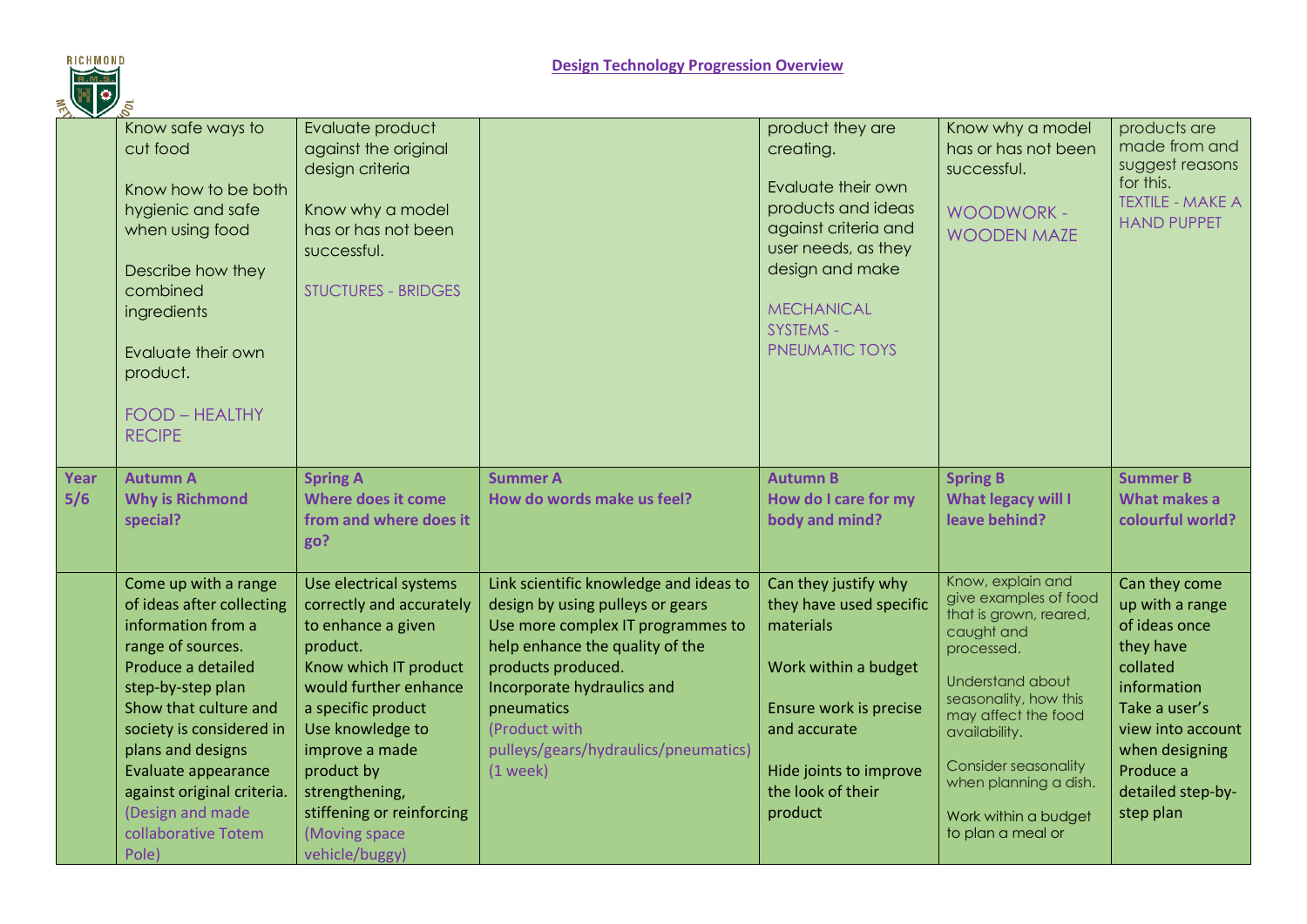

| $2 \times 2$ |                                                                                                                                                                                                                                                                                                                            |                                                                                                                                                                                                                                                                                                    |                                                                                                                                                                                                                                                                                             |                                                                                                                                                                                                 |                                                                                                                                                                                                                                                                                            |                                                                                                                                                                                                  |
|--------------|----------------------------------------------------------------------------------------------------------------------------------------------------------------------------------------------------------------------------------------------------------------------------------------------------------------------------|----------------------------------------------------------------------------------------------------------------------------------------------------------------------------------------------------------------------------------------------------------------------------------------------------|---------------------------------------------------------------------------------------------------------------------------------------------------------------------------------------------------------------------------------------------------------------------------------------------|-------------------------------------------------------------------------------------------------------------------------------------------------------------------------------------------------|--------------------------------------------------------------------------------------------------------------------------------------------------------------------------------------------------------------------------------------------------------------------------------------------|--------------------------------------------------------------------------------------------------------------------------------------------------------------------------------------------------|
|              | Know safe ways to<br>cut food<br>Know how to be both<br>hygienic and safe<br>when using food<br>Describe how they<br>combined<br>ingredients<br>Evaluate their own<br>product.<br><b>FOOD - HEALTHY</b><br><b>RECIPE</b>                                                                                                   | Evaluate product<br>against the original<br>design criteria<br>Know why a model<br>has or has not been<br>successful.<br><b>STUCTURES - BRIDGES</b>                                                                                                                                                |                                                                                                                                                                                                                                                                                             | product they are<br>creating.<br>Evaluate their own<br>products and ideas<br>against criteria and<br>user needs, as they<br>design and make<br><b>MECHANICAL</b><br>SYSTEMS -<br>PNEUMATIC TOYS | Know why a model<br>has or has not been<br>successful.<br><b>WOODWORK -</b><br><b>WOODEN MAZE</b>                                                                                                                                                                                          | products are<br>made from and<br>suggest reasons<br>for this.<br><b>TEXTILE - MAKE A</b><br><b>HAND PUPPET</b>                                                                                   |
| Year<br>5/6  | <b>Autumn A</b><br><b>Why is Richmond</b><br>special?                                                                                                                                                                                                                                                                      | <b>Spring A</b><br>Where does it come<br>from and where does it<br>go?                                                                                                                                                                                                                             | <b>Summer A</b><br>How do words make us feel?                                                                                                                                                                                                                                               | <b>Autumn B</b><br>How do I care for my<br>body and mind?                                                                                                                                       | <b>Spring B</b><br>What legacy will I<br>leave behind?                                                                                                                                                                                                                                     | <b>Summer B</b><br>What makes a<br>colourful world?                                                                                                                                              |
|              | Come up with a range<br>of ideas after collecting<br>information from a<br>range of sources.<br>Produce a detailed<br>step-by-step plan<br>Show that culture and<br>society is considered in<br>plans and designs<br>Evaluate appearance<br>against original criteria.<br>(Design and made<br>collaborative Totem<br>Pole) | Use electrical systems<br>correctly and accurately<br>to enhance a given<br>product.<br>Know which IT product<br>would further enhance<br>a specific product<br>Use knowledge to<br>improve a made<br>product by<br>strengthening,<br>stiffening or reinforcing<br>(Moving space<br>vehicle/buggy) | Link scientific knowledge and ideas to<br>design by using pulleys or gears<br>Use more complex IT programmes to<br>help enhance the quality of the<br>products produced.<br>Incorporate hydraulics and<br>pneumatics<br>(Product with<br>pulleys/gears/hydraulics/pneumatics)<br>$(1$ week) | Can they justify why<br>they have used specific<br>materials<br>Work within a budget<br>Ensure work is precise<br>and accurate<br>Hide joints to improve<br>the look of their<br>product        | Know, explain and<br>give examples of food<br>that is grown, reared,<br>caught and<br>processed.<br>Understand about<br>seasonality, how this<br>may affect the food<br>availability.<br><b>Consider seasonality</b><br>when planning a dish.<br>Work within a budget<br>to plan a meal or | Can they come<br>up with a range<br>of ideas once<br>they have<br>collated<br>information<br>Take a user's<br>view into account<br>when designing<br>Produce a<br>detailed step-by-<br>step plan |